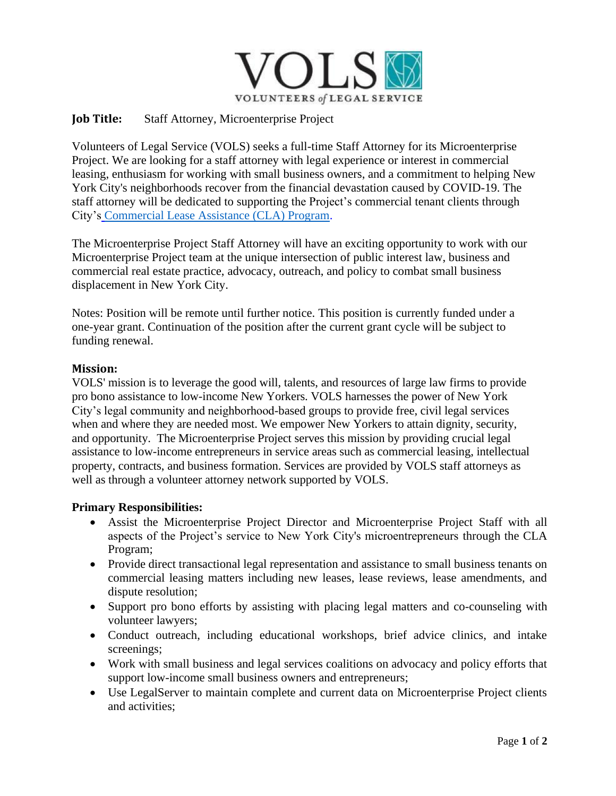

## **Job Title:** Staff Attorney, Microenterprise Project

Volunteers of Legal Service (VOLS) seeks a full-time Staff Attorney for its Microenterprise Project. We are looking for a staff attorney with legal experience or interest in commercial leasing, enthusiasm for working with small business owners, and a commitment to helping New York City's neighborhoods recover from the financial devastation caused by COVID-19. The staff attorney will be dedicated to supporting the Project's commercial tenant clients through City's [Commercial Lease Assistance \(CLA\) Program.](https://www1.nyc.gov/nycbusiness/article/commercial-lease-assistance-program)

The Microenterprise Project Staff Attorney will have an exciting opportunity to work with our Microenterprise Project team at the unique intersection of public interest law, business and commercial real estate practice, advocacy, outreach, and policy to combat small business displacement in New York City.

Notes: Position will be remote until further notice. This position is currently funded under a one-year grant. Continuation of the position after the current grant cycle will be subject to funding renewal.

### **Mission:**

VOLS' mission is to leverage the good will, talents, and resources of large law firms to provide pro bono assistance to low-income New Yorkers. VOLS harnesses the power of New York City's legal community and neighborhood-based groups to provide free, civil legal services when and where they are needed most. We empower New Yorkers to attain dignity, security, and opportunity. The Microenterprise Project serves this mission by providing crucial legal assistance to low-income entrepreneurs in service areas such as commercial leasing, intellectual property, contracts, and business formation. Services are provided by VOLS staff attorneys as well as through a volunteer attorney network supported by VOLS.

### **Primary Responsibilities:**

- Assist the Microenterprise Project Director and Microenterprise Project Staff with all aspects of the Project's service to New York City's microentrepreneurs through the CLA Program;
- Provide direct transactional legal representation and assistance to small business tenants on commercial leasing matters including new leases, lease reviews, lease amendments, and dispute resolution;
- Support pro bono efforts by assisting with placing legal matters and co-counseling with volunteer lawyers;
- Conduct outreach, including educational workshops, brief advice clinics, and intake screenings;
- Work with small business and legal services coalitions on advocacy and policy efforts that support low-income small business owners and entrepreneurs;
- Use LegalServer to maintain complete and current data on Microenterprise Project clients and activities;